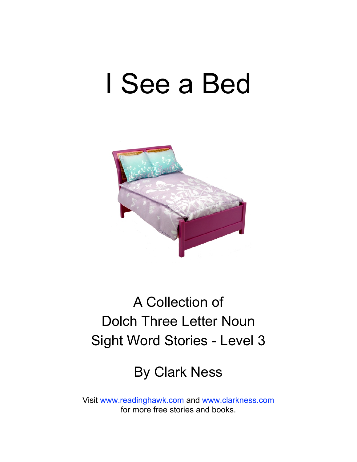## I See a Bed



### A Collection of Dolch Three Letter Noun Sight Word Stories - Level 3

#### By Clark Ness

Visit [www.readinghawk.com](http://www.readinghawk.com) and [www.clarkness.com](http://www.clarkness.com) for more free stories and books.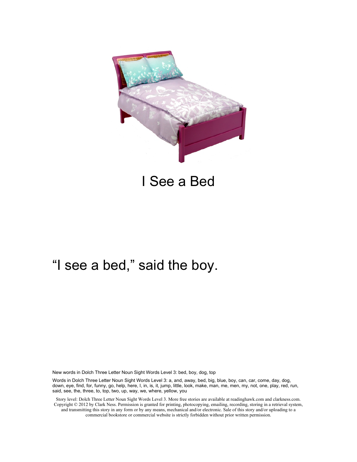

I See a Bed

#### "I see a bed," said the boy.

New words in Dolch Three Letter Noun Sight Words Level 3: bed, boy, dog, top

Words in Dolch Three Letter Noun Sight Words Level 3: a, and, away, bed, big, blue, boy, can, car, come, day, dog, down, eye, find, for, funny, go, help, here, I, in, is, it, jump, little, look, make, man, me, men, my, not, one, play, red, run, said, see, the, three, to, top, two, up, way, we, where, yellow, you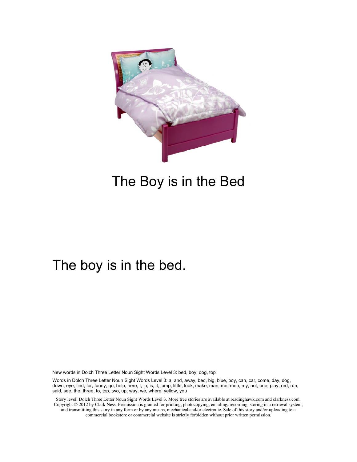

#### The Boy is in the Bed

#### The boy is in the bed.

New words in Dolch Three Letter Noun Sight Words Level 3: bed, boy, dog, top

Words in Dolch Three Letter Noun Sight Words Level 3: a, and, away, bed, big, blue, boy, can, car, come, day, dog, down, eye, find, for, funny, go, help, here, I, in, is, it, jump, little, look, make, man, me, men, my, not, one, play, red, run, said, see, the, three, to, top, two, up, way, we, where, yellow, you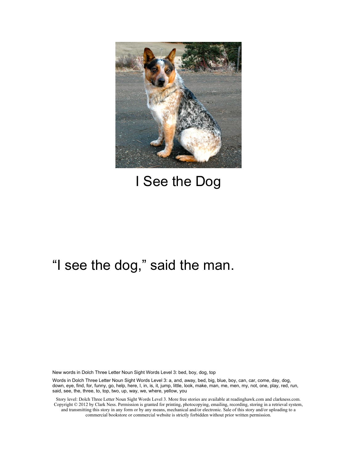

#### I See the Dog

#### "I see the dog," said the man.

New words in Dolch Three Letter Noun Sight Words Level 3: bed, boy, dog, top

Words in Dolch Three Letter Noun Sight Words Level 3: a, and, away, bed, big, blue, boy, can, car, come, day, dog, down, eye, find, for, funny, go, help, here, I, in, is, it, jump, little, look, make, man, me, men, my, not, one, play, red, run, said, see, the, three, to, top, two, up, way, we, where, yellow, you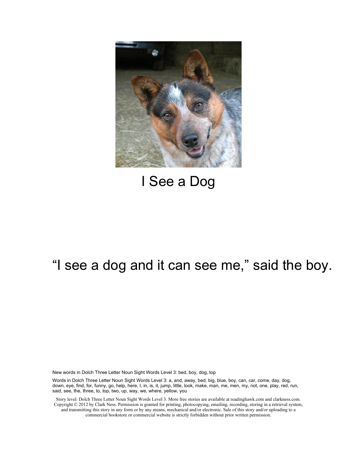

#### I See a Dog

#### "I see a dog and it can see me," said the boy.

New words in Dolch Three Letter Noun Sight Words Level 3: bed, boy, dog, top

Words in Dolch Three Letter Noun Sight Words Level 3: a, and, away, bed, big, blue, boy, can, car, come, day, dog, down, eye, find, for, funny, go, help, here, I, in, is, it, jump, little, look, make, man, me, men, my, not, one, play, red, run, said, see, the, three, to, top, two, up, way, we, where, yellow, you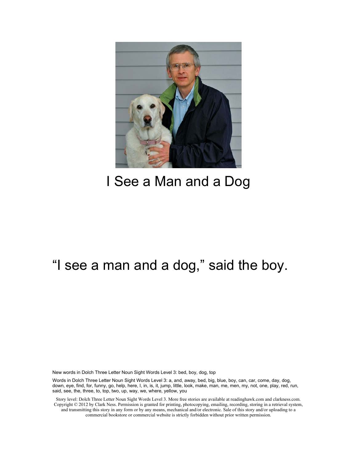

#### I See a Man and a Dog

#### "I see a man and a dog," said the boy.

New words in Dolch Three Letter Noun Sight Words Level 3: bed, boy, dog, top

Words in Dolch Three Letter Noun Sight Words Level 3: a, and, away, bed, big, blue, boy, can, car, come, day, dog, down, eye, find, for, funny, go, help, here, I, in, is, it, jump, little, look, make, man, me, men, my, not, one, play, red, run, said, see, the, three, to, top, two, up, way, we, where, yellow, you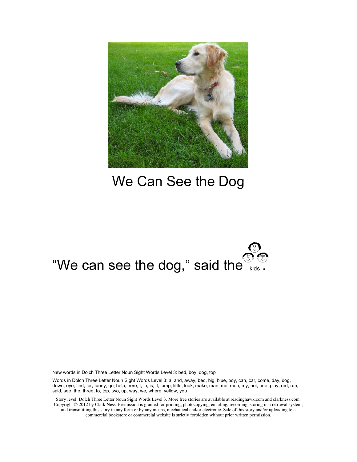

#### We Can See the Dog

# "We can see the dog," said the  $\frac{1}{\omega}$  ...

New words in Dolch Three Letter Noun Sight Words Level 3: bed, boy, dog, top

Words in Dolch Three Letter Noun Sight Words Level 3: a, and, away, bed, big, blue, boy, can, car, come, day, dog, down, eye, find, for, funny, go, help, here, I, in, is, it, jump, little, look, make, man, me, men, my, not, one, play, red, run, said, see, the, three, to, top, two, up, way, we, where, yellow, you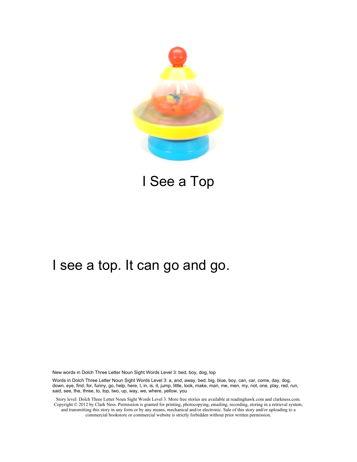

I See a Top

#### I see a top. It can go and go.

New words in Dolch Three Letter Noun Sight Words Level 3: bed, boy, dog, top

Words in Dolch Three Letter Noun Sight Words Level 3: a, and, away, bed, big, blue, boy, can, car, come, day, dog, down, eye, find, for, funny, go, help, here, I, in, is, it, jump, little, look, make, man, me, men, my, not, one, play, red, run, said, see, the, three, to, top, two, up, way, we, where, yellow, you